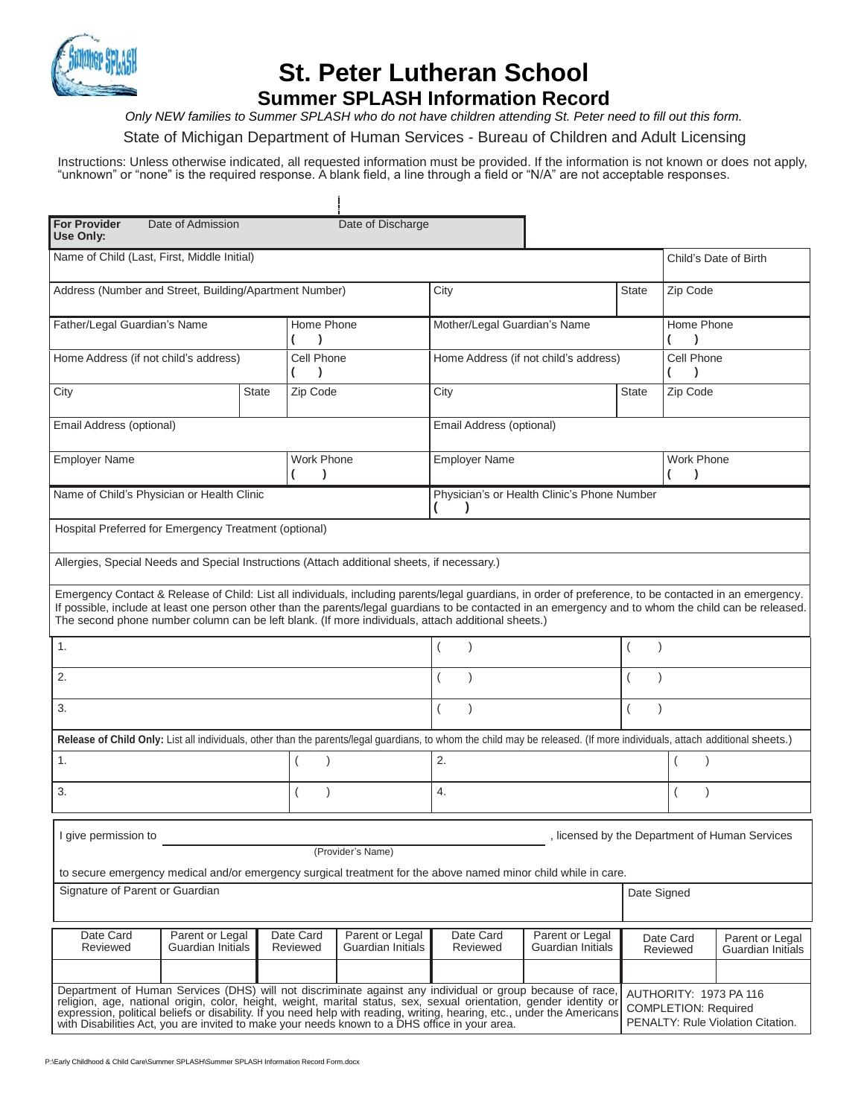

## **St. Peter Lutheran School Summer SPLASH Information Record**

*Only NEW families to Summer SPLASH who do not have children attending St. Peter need to fill out this form.*

State of Michigan Department of Human Services - Bureau of Children and Adult Licensing

Instructions: Unless otherwise indicated, all requested information must be provided. If the information is not known or does not apply, "unknown" or "none" is the required response. A blank field, a line through a field or "N/A" are not acceptable responses.

Ť

| <b>For Provider</b><br>Use Only:                                                                                                                                                                                                                                                                                                                                                                                                                            | Date of Admission                    |                       | Date of Discharge                                                                                                                                                                                                                                                                                                                                                                                                       |                                             |                                                                                            |              |                         |                                              |  |
|-------------------------------------------------------------------------------------------------------------------------------------------------------------------------------------------------------------------------------------------------------------------------------------------------------------------------------------------------------------------------------------------------------------------------------------------------------------|--------------------------------------|-----------------------|-------------------------------------------------------------------------------------------------------------------------------------------------------------------------------------------------------------------------------------------------------------------------------------------------------------------------------------------------------------------------------------------------------------------------|---------------------------------------------|--------------------------------------------------------------------------------------------|--------------|-------------------------|----------------------------------------------|--|
| Name of Child (Last, First, Middle Initial)                                                                                                                                                                                                                                                                                                                                                                                                                 |                                      |                       |                                                                                                                                                                                                                                                                                                                                                                                                                         |                                             |                                                                                            |              |                         | Child's Date of Birth                        |  |
| Address (Number and Street, Building/Apartment Number)                                                                                                                                                                                                                                                                                                                                                                                                      |                                      |                       |                                                                                                                                                                                                                                                                                                                                                                                                                         | City                                        |                                                                                            | <b>State</b> | Zip Code                |                                              |  |
| Father/Legal Guardian's Name                                                                                                                                                                                                                                                                                                                                                                                                                                |                                      | Home Phone            |                                                                                                                                                                                                                                                                                                                                                                                                                         | Mother/Legal Guardian's Name                |                                                                                            |              | Home Phone              |                                              |  |
| Home Address (if not child's address)                                                                                                                                                                                                                                                                                                                                                                                                                       |                                      | Cell Phone            |                                                                                                                                                                                                                                                                                                                                                                                                                         | Home Address (if not child's address)       |                                                                                            |              | Cell Phone              |                                              |  |
| City                                                                                                                                                                                                                                                                                                                                                                                                                                                        |                                      | Zip Code<br>State     |                                                                                                                                                                                                                                                                                                                                                                                                                         | City                                        |                                                                                            | <b>State</b> | Zip Code                |                                              |  |
| Email Address (optional)                                                                                                                                                                                                                                                                                                                                                                                                                                    |                                      |                       | Email Address (optional)                                                                                                                                                                                                                                                                                                                                                                                                |                                             |                                                                                            |              |                         |                                              |  |
| <b>Employer Name</b>                                                                                                                                                                                                                                                                                                                                                                                                                                        |                                      | Work Phone            |                                                                                                                                                                                                                                                                                                                                                                                                                         | <b>Employer Name</b>                        |                                                                                            |              | Work Phone<br>$\lambda$ |                                              |  |
| Name of Child's Physician or Health Clinic                                                                                                                                                                                                                                                                                                                                                                                                                  |                                      |                       |                                                                                                                                                                                                                                                                                                                                                                                                                         | Physician's or Health Clinic's Phone Number |                                                                                            |              |                         |                                              |  |
| Hospital Preferred for Emergency Treatment (optional)                                                                                                                                                                                                                                                                                                                                                                                                       |                                      |                       |                                                                                                                                                                                                                                                                                                                                                                                                                         |                                             |                                                                                            |              |                         |                                              |  |
| Allergies, Special Needs and Special Instructions (Attach additional sheets, if necessary.)                                                                                                                                                                                                                                                                                                                                                                 |                                      |                       |                                                                                                                                                                                                                                                                                                                                                                                                                         |                                             |                                                                                            |              |                         |                                              |  |
|                                                                                                                                                                                                                                                                                                                                                                                                                                                             |                                      |                       | Emergency Contact & Release of Child: List all individuals, including parents/legal guardians, in order of preference, to be contacted in an emergency.<br>If possible, include at least one person other than the parents/legal guardians to be contacted in an emergency and to whom the child can be released.<br>The second phone number column can be left blank. (If more individuals, attach additional sheets.) |                                             |                                                                                            |              |                         |                                              |  |
| 1.                                                                                                                                                                                                                                                                                                                                                                                                                                                          |                                      |                       |                                                                                                                                                                                                                                                                                                                                                                                                                         | $\lambda$                                   |                                                                                            |              |                         |                                              |  |
| 2.                                                                                                                                                                                                                                                                                                                                                                                                                                                          |                                      |                       |                                                                                                                                                                                                                                                                                                                                                                                                                         |                                             |                                                                                            |              |                         |                                              |  |
| 3.                                                                                                                                                                                                                                                                                                                                                                                                                                                          |                                      |                       |                                                                                                                                                                                                                                                                                                                                                                                                                         | $\left($                                    |                                                                                            |              |                         |                                              |  |
|                                                                                                                                                                                                                                                                                                                                                                                                                                                             |                                      |                       | Release of Child Only: List all individuals, other than the parents/legal guardians, to whom the child may be released. (If more individuals, attach additional sheets.)                                                                                                                                                                                                                                                |                                             |                                                                                            |              |                         |                                              |  |
| 1.                                                                                                                                                                                                                                                                                                                                                                                                                                                          |                                      |                       | $\lambda$                                                                                                                                                                                                                                                                                                                                                                                                               | 2.                                          |                                                                                            |              |                         |                                              |  |
| 3.                                                                                                                                                                                                                                                                                                                                                                                                                                                          |                                      |                       |                                                                                                                                                                                                                                                                                                                                                                                                                         | 4.                                          |                                                                                            |              |                         |                                              |  |
| I give permission to                                                                                                                                                                                                                                                                                                                                                                                                                                        |                                      |                       |                                                                                                                                                                                                                                                                                                                                                                                                                         |                                             |                                                                                            |              |                         | licensed by the Department of Human Services |  |
|                                                                                                                                                                                                                                                                                                                                                                                                                                                             |                                      |                       | (Provider's Name)<br>to secure emergency medical and/or emergency surgical treatment for the above named minor child while in care.                                                                                                                                                                                                                                                                                     |                                             |                                                                                            |              |                         |                                              |  |
| Signature of Parent or Guardian                                                                                                                                                                                                                                                                                                                                                                                                                             |                                      |                       |                                                                                                                                                                                                                                                                                                                                                                                                                         |                                             |                                                                                            | Date Signed  |                         |                                              |  |
| Date Card<br>Reviewed                                                                                                                                                                                                                                                                                                                                                                                                                                       | Parent or Legal<br>Guardian Initials | Date Card<br>Reviewed | Parent or Legal<br>Guardian Initials                                                                                                                                                                                                                                                                                                                                                                                    | Date Card<br>Reviewed                       | Parent or Legal<br>Guardian Initials                                                       |              | Date Card<br>Reviewed   | Parent or Legal<br>Guardian Initials         |  |
| Department of Human Services (DHS) will not discriminate against any individual or group because of race,<br>religion, age, national origin, color, height, weight, marital status, sex, sexual orientation, gender identity or<br>expression, political beliefs or disability. If you need help with reading, writing, hearing, etc., under the Americans<br>with Disabilities Act, you are invited to make your needs known to a DHS office in your area. |                                      |                       |                                                                                                                                                                                                                                                                                                                                                                                                                         |                                             | AUTHORITY: 1973 PA 116<br><b>COMPLETION: Required</b><br>PENALTY: Rule Violation Citation. |              |                         |                                              |  |